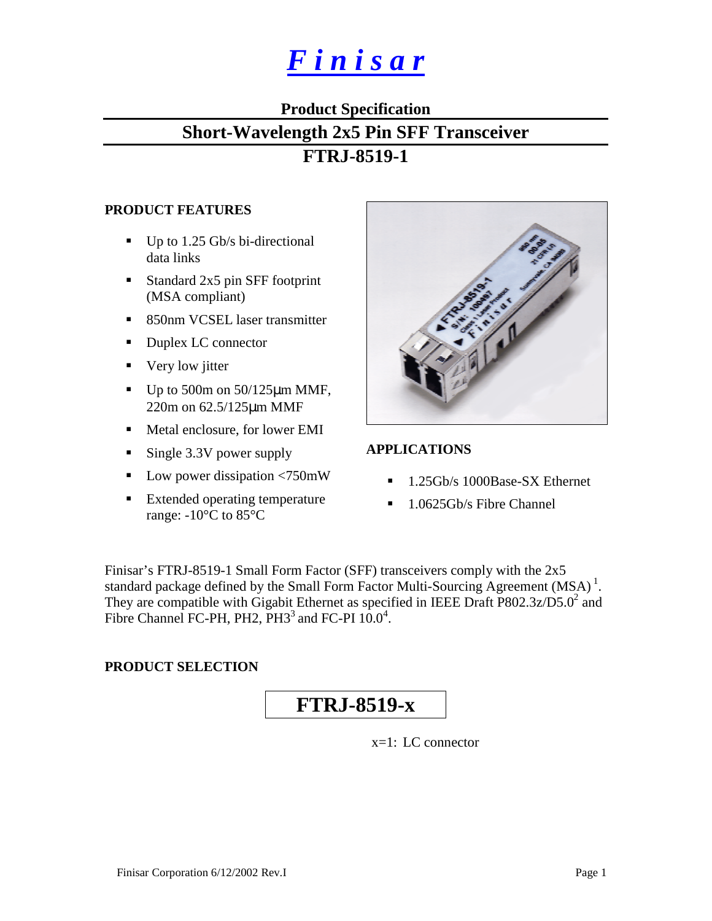# *F i n i s a r*

# **Product Specification**

# **Short-Wavelength 2x5 Pin SFF Transceiver**

# **FTRJ-8519-1**

#### **PRODUCT FEATURES**

- $\blacksquare$  Up to 1.25 Gb/s bi-directional data links
- Standard 2x5 pin SFF footprint (MSA compliant)
- 850nm VCSEL laser transmitter
- Duplex LC connector
- Very low jitter
- $\blacksquare$  Up to 500m on 50/125 $\mu$ m MMF, 220m on 62.5/125µm MMF
- Metal enclosure, for lower EMI
- Single 3.3V power supply
- $\blacksquare$  Low power dissipation <750mW
- Extended operating temperature range: -10°C to 85°C



#### **APPLICATIONS**

- ! 1.25Gb/s 1000Base-SX Ethernet
- **1.0625Gb/s Fibre Channel**

Finisar's FTRJ-8519-1 Small Form Factor (SFF) transceivers comply with the 2x5 standard package defined by the Small Form Factor Multi-Sourcing Agreement  $(MSA)^1$ . They are compatible with Gigabit Ethernet as specified in IEEE Draft  $P802.3z/D5.0^2$  and Fibre Channel FC-PH, PH2,  $PH3<sup>3</sup>$  and FC-PI  $10.0<sup>4</sup>$ .

### **PRODUCT SELECTION**

# **FTRJ-8519-x**

x=1: LC connector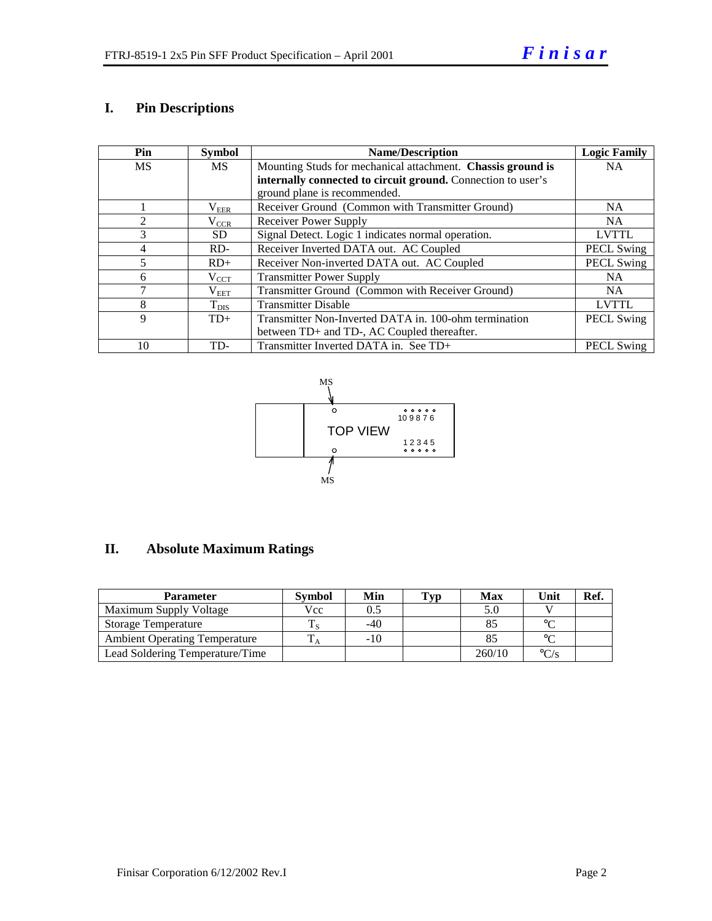### **I. Pin Descriptions**

| Pin       | <b>Symbol</b> | <b>Name/Description</b>                                      | <b>Logic Family</b> |
|-----------|---------------|--------------------------------------------------------------|---------------------|
| <b>MS</b> | <b>MS</b>     | Mounting Studs for mechanical attachment. Chassis ground is  | <b>NA</b>           |
|           |               | internally connected to circuit ground. Connection to user's |                     |
|           |               | ground plane is recommended.                                 |                     |
|           | $\rm V_{EER}$ | Receiver Ground (Common with Transmitter Ground)             | <b>NA</b>           |
| 2         | $\rm V_{CCR}$ | Receiver Power Supply                                        | NA.                 |
| 3         | SD.           | Signal Detect. Logic 1 indicates normal operation.           | <b>LVTTL</b>        |
| 4         | $RD-$         | Receiver Inverted DATA out. AC Coupled                       | <b>PECL Swing</b>   |
| 5         | $RD+$         | Receiver Non-inverted DATA out. AC Coupled                   | <b>PECL Swing</b>   |
| 6         | $\rm V_{CCT}$ | <b>Transmitter Power Supply</b>                              | NA.                 |
| 7         | $\rm V_{EET}$ | Transmitter Ground (Common with Receiver Ground)             | <b>NA</b>           |
| 8         | $T_{\rm DIS}$ | <b>Transmitter Disable</b>                                   | <b>LVTTL</b>        |
| 9         | $TD+$         | Transmitter Non-Inverted DATA in. 100-ohm termination        | <b>PECL Swing</b>   |
|           |               | between TD+ and TD-, AC Coupled thereafter.                  |                     |
| 10        | TD-           | Transmitter Inverted DATA in. See TD+                        | <b>PECL Swing</b>   |



# **II. Absolute Maximum Ratings**

| <b>Parameter</b>                     | <b>Symbol</b> | Min   | Typ | Max    | Unit              | Ref. |
|--------------------------------------|---------------|-------|-----|--------|-------------------|------|
| Maximum Supply Voltage               | Vcc           | 0.5   |     |        |                   |      |
| <b>Storage Temperature</b>           |               | $-40$ |     |        | $\sim$            |      |
| <b>Ambient Operating Temperature</b> |               | $-10$ |     |        | $\sim$            |      |
| Lead Soldering Temperature/Time      |               |       |     | 260/10 | $\rm ^{\circ}C/s$ |      |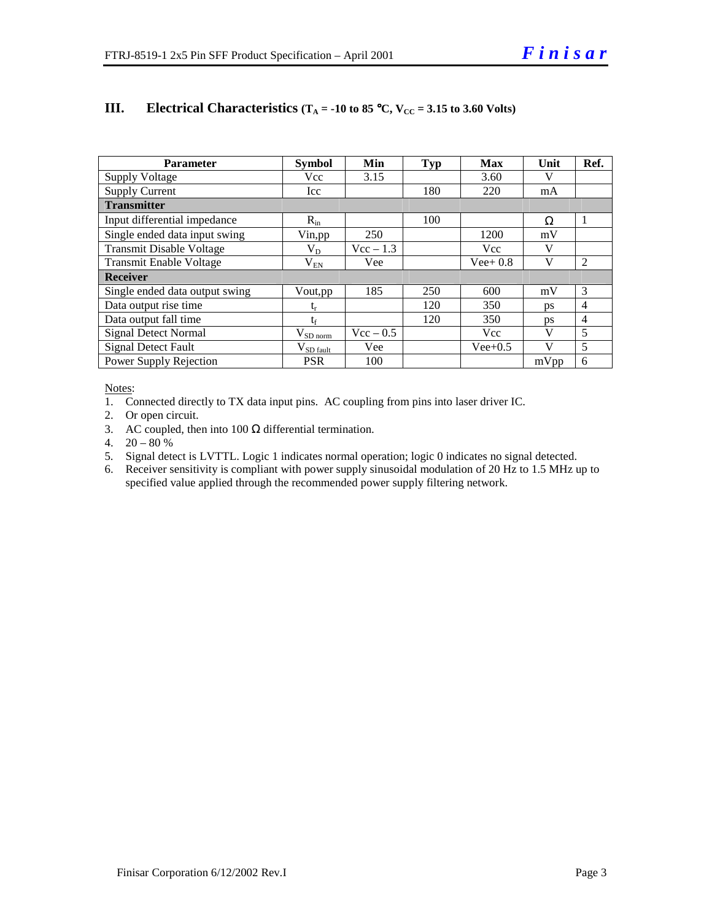| <b>Parameter</b>                | <b>Symbol</b>          | Min         | <b>Typ</b> | Max        | Unit      | Ref.           |
|---------------------------------|------------------------|-------------|------------|------------|-----------|----------------|
| <b>Supply Voltage</b>           | Vcc                    | 3.15        |            | 3.60       | V         |                |
| <b>Supply Current</b>           | Icc                    |             | 180        | 220        | mA        |                |
| <b>Transmitter</b>              |                        |             |            |            |           |                |
| Input differential impedance    | $R_{in}$               |             | 100        |            | Ω         | 1              |
| Single ended data input swing   | Vin, pp                | 250         |            | 1200       | mV        |                |
| <b>Transmit Disable Voltage</b> | $V_D$                  | $Vec - 1.3$ |            | <b>Vcc</b> | V         |                |
| <b>Transmit Enable Voltage</b>  | $V_{EN}$               | Vee         |            | $Vee+0.8$  | V         | 2              |
| <b>Receiver</b>                 |                        |             |            |            |           |                |
| Single ended data output swing  | Vout, pp               | 185         | 250        | 600        | mV        | 3              |
| Data output rise time           | $t_{r}$                |             | 120        | 350        | <b>DS</b> | $\overline{4}$ |
| Data output fall time           | $t_{\rm f}$            |             | 120        | 350        | <b>DS</b> | $\overline{4}$ |
| <b>Signal Detect Normal</b>     | $\rm V_{SD\,norm}$     | $Vec - 0.5$ |            | <b>Vcc</b> | V         | 5              |
| <b>Signal Detect Fault</b>      | $V_{SD \text{ fault}}$ | Vee         |            | $Vee+0.5$  | V         | 5              |
| Power Supply Rejection          | <b>PSR</b>             | 100         |            |            | mVpp      | 6              |

#### **III.** Electrical Characteristics ( $T_A = -10$  to 85 °C,  $V_{CC} = 3.15$  to 3.60 Volts)

Notes:

1. Connected directly to TX data input pins. AC coupling from pins into laser driver IC.

2. Or open circuit.

3. AC coupled, then into 100  $\Omega$  differential termination.

4.  $20 - 80 %$ 

5. Signal detect is LVTTL. Logic 1 indicates normal operation; logic 0 indicates no signal detected.

6. Receiver sensitivity is compliant with power supply sinusoidal modulation of 20 Hz to 1.5 MHz up to specified value applied through the recommended power supply filtering network.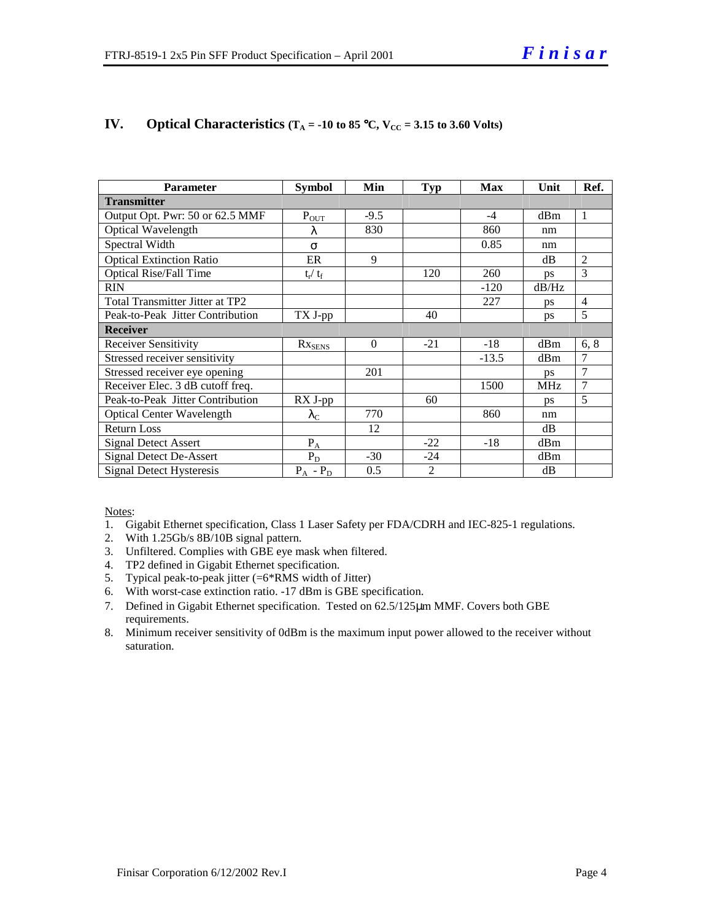| <b>Parameter</b>                 | <b>Symbol</b>           | Min      | <b>Typ</b>     | Max     | Unit       | Ref.           |
|----------------------------------|-------------------------|----------|----------------|---------|------------|----------------|
| <b>Transmitter</b>               |                         |          |                |         |            |                |
| Output Opt. Pwr: 50 or 62.5 MMF  | $P_{OT}$                | $-9.5$   |                | $-4$    | dBm        | $\mathbf{1}$   |
| Optical Wavelength               | λ                       | 830      |                | 860     | nm         |                |
| Spectral Width                   | $\sigma$                |          |                | 0.85    | nm         |                |
| <b>Optical Extinction Ratio</b>  | ER                      | 9        |                |         | dB         | $\overline{2}$ |
| <b>Optical Rise/Fall Time</b>    | $t_{\rm r} / t_{\rm f}$ |          | 120            | 260     | <b>ps</b>  | 3              |
| <b>RIN</b>                       |                         |          |                | $-120$  | dB/Hz      |                |
| Total Transmitter Jitter at TP2  |                         |          |                | 227     | ps         | $\overline{4}$ |
| Peak-to-Peak Jitter Contribution | TX J-pp                 |          | 40             |         | ps         | 5              |
| <b>Receiver</b>                  |                         |          |                |         |            |                |
| <b>Receiver Sensitivity</b>      | $Rx_{SENS$              | $\Omega$ | $-21$          | $-18$   | dBm        | 6, 8           |
| Stressed receiver sensitivity    |                         |          |                | $-13.5$ | dBm        | $\overline{7}$ |
| Stressed receiver eye opening    |                         | 201      |                |         | <b>DS</b>  | $\overline{7}$ |
| Receiver Elec. 3 dB cutoff freq. |                         |          |                | 1500    | <b>MHz</b> | $\overline{7}$ |
| Peak-to-Peak Jitter Contribution | $RX$ J-pp               |          | 60             |         | <b>DS</b>  | 5              |
| <b>Optical Center Wavelength</b> | $\lambda_{\rm C}$       | 770      |                | 860     | nm         |                |
| <b>Return Loss</b>               |                         | 12       |                |         | dB         |                |
| <b>Signal Detect Assert</b>      | $P_A$                   |          | $-22$          | $-18$   | dBm        |                |
| <b>Signal Detect De-Assert</b>   | $P_D$                   | $-30$    | $-24$          |         | dBm        |                |
| <b>Signal Detect Hysteresis</b>  | $P_A$ - $P_D$           | 0.5      | $\overline{2}$ |         | dB         |                |

#### **IV.** Optical Characteristics  $(T_A = -10 \text{ to } 85 \text{ °C}, V_{CC} = 3.15 \text{ to } 3.60 \text{ Volts})$

Notes:

- 1. Gigabit Ethernet specification, Class 1 Laser Safety per FDA/CDRH and IEC-825-1 regulations.
- 2. With 1.25Gb/s 8B/10B signal pattern.
- 3. Unfiltered. Complies with GBE eye mask when filtered.
- 4. TP2 defined in Gigabit Ethernet specification.
- 5. Typical peak-to-peak jitter (=6\*RMS width of Jitter)
- 6. With worst-case extinction ratio. -17 dBm is GBE specification.
- 7. Defined in Gigabit Ethernet specification. Tested on 62.5/125µm MMF. Covers both GBE requirements.
- 8. Minimum receiver sensitivity of 0dBm is the maximum input power allowed to the receiver without saturation.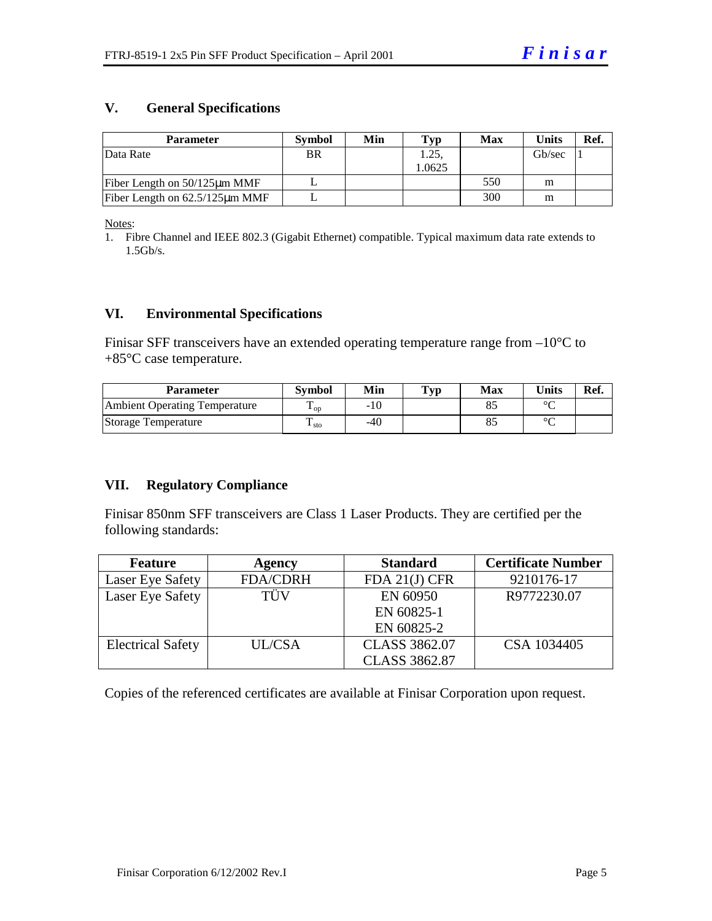#### **V. General Specifications**

| <b>Parameter</b>                     | <b>Symbol</b> | Min | Typ   | Max | Units  | Ref. |
|--------------------------------------|---------------|-----|-------|-----|--------|------|
| Data Rate                            | <b>BR</b>     |     | 1.25  |     | Gb/sec |      |
|                                      |               |     | .0625 |     |        |      |
| Fiber Length on $50/125 \mu m$ MMF   |               |     |       | 550 | m      |      |
| Fiber Length on $62.5/125 \mu m$ MMF |               |     |       | 300 | m      |      |

Notes:

1. Fibre Channel and IEEE 802.3 (Gigabit Ethernet) compatible. Typical maximum data rate extends to 1.5Gb/s.

#### **VI. Environmental Specifications**

Finisar SFF transceivers have an extended operating temperature range from  $-10^{\circ}$ C to +85°C case temperature.

| Parameter                            | Svmbol                 | Min | Typ | Max | <b>Units</b> | Ref. |
|--------------------------------------|------------------------|-----|-----|-----|--------------|------|
| <b>Ambient Operating Temperature</b> | $\mathbf{L}_{OD}$      | -10 |     |     | $\sim$       |      |
| Storage Temperature                  | ᡣ<br>$\frac{1}{1}$ sto | -40 |     |     | $\sim$       |      |

#### **VII. Regulatory Compliance**

Finisar 850nm SFF transceivers are Class 1 Laser Products. They are certified per the following standards:

| <b>Feature</b>           | <b>Agency</b>   | <b>Standard</b>      | <b>Certificate Number</b> |
|--------------------------|-----------------|----------------------|---------------------------|
| Laser Eye Safety         | <b>FDA/CDRH</b> | FDA $21(J)$ CFR      | 9210176-17                |
| Laser Eye Safety         | TÜV             | EN 60950             | R9772230.07               |
|                          |                 | EN 60825-1           |                           |
|                          |                 | EN 60825-2           |                           |
| <b>Electrical Safety</b> | UL/CSA          | <b>CLASS 3862.07</b> | CSA 1034405               |
|                          |                 | <b>CLASS 3862.87</b> |                           |

Copies of the referenced certificates are available at Finisar Corporation upon request.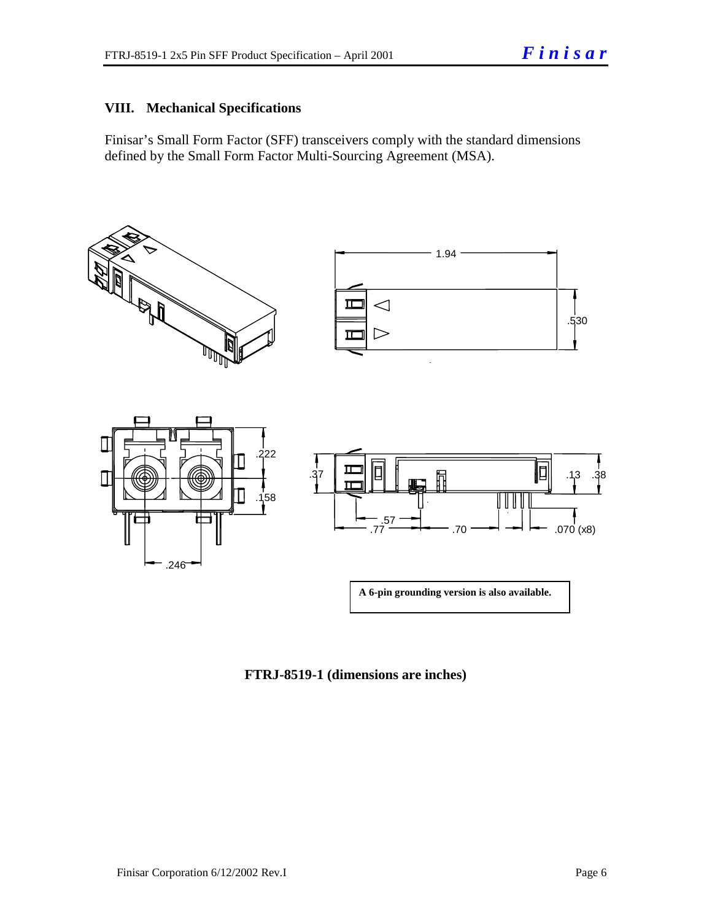#### **VIII. Mechanical Specifications**

Finisar's Small Form Factor (SFF) transceivers comply with the standard dimensions defined by the Small Form Factor Multi-Sourcing Agreement (MSA).



**FTRJ-8519-1 (dimensions are inches)**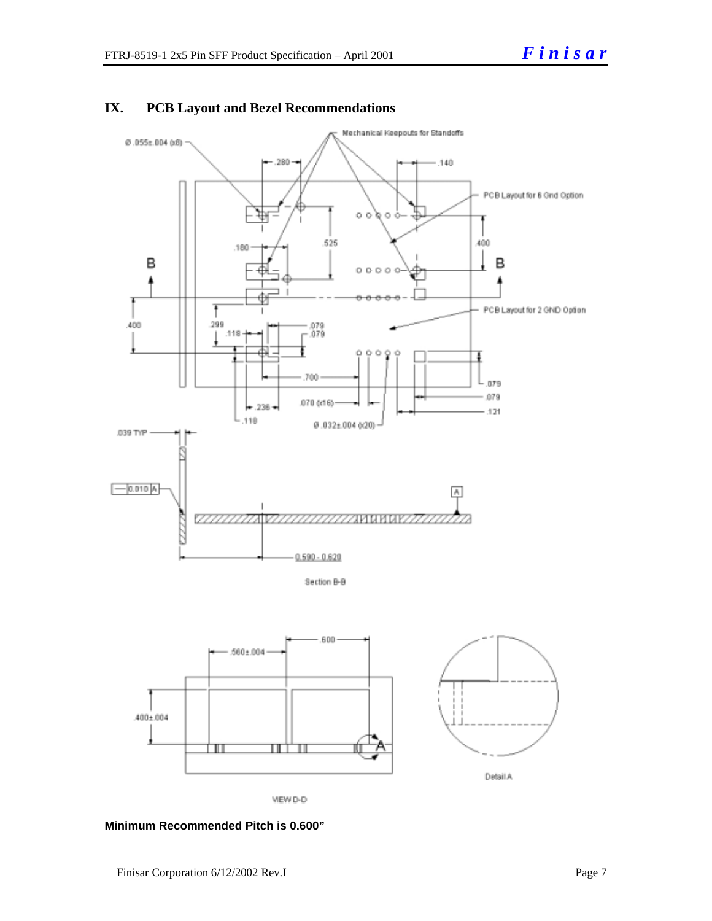

### **IX. PCB Layout and Bezel Recommendations**



VIEW D-D

**Minimum Recommended Pitch is 0.600"**